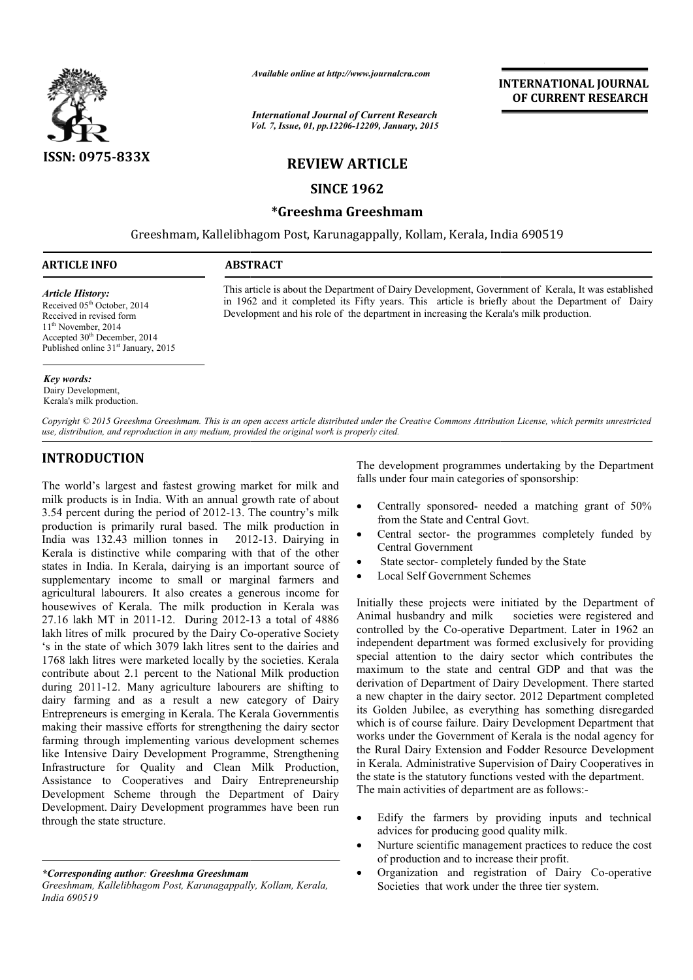

*Available online at http://www.journalcra.com*

*International Journal of Current Research Vol. 7, Issue, 01, pp.12206-12209, January, 2015*

# **INTERNATIONAL INTERNATIONAL JOURNAL OF CURRENT RESEARCH**

## **REVIEW ARTICLE**

### **SINCE 1962**

### **\*Greeshma Greeshmam**

Greeshmam, Kallelibhagom Post, Karunagappally, Kollam, Kerala, India 690519

# **ARTICLE INFO ABSTRACT** 1

*Article History:* Received 05<sup>th</sup> October, 2014 Received in revised form 11<sup>th</sup> November, 2014 Accepted 30<sup>th</sup> December, 2014 Published online 31<sup>st</sup> January, 2015

This article is about the Department of Dairy Development, Government of Kerala, It was established in 1962 and it completed its Fifty years. This article is briefly about the Department of Dairy Development and his role of the department in increasing the Kerala's milk production.

*Key words:* Dairy Development, Kerala's milk production.

*Copyright © 2015 Greeshma Greeshmam. This is an open access article distributed under the Creative Commons Att Attribution License, which ribution License, permits unrestricted use, distribution, and reproduction in any medium, provided the original work is properly cited.*

# **INTRODUCTION**

The world's largest and fastest growing market for milk and milk products is in India. With an annual growth rate of about 3.54 percent during the period of 2012-13. The country's milk production is primarily rural based. The milk production in India was 132.43 million tonnes in 2012-13. Dairying in Kerala is distinctive while comparing with that of the other states in India. In Kerala, dairying is an important source of supplementary income to small or marginal farmers and agricultural labourers. It also creates a generous income for housewives of Kerala. The milk production in Kerala was 27.16 lakh MT in 2011-12. During 2012-13 a total of 4886 27.16 lakh MT in 2011-12. During 2012-13 a total of 4886 lakh litres of milk procured by the Dairy Co-operative Society 's in the state of which 3079 lakh litres sent to the dairies and 1768 lakh litres were marketed locally by the societies. Kerala contribute about 2.1 percent to the National Milk production during 2011-12. Many agriculture labourers are shifting to dairy farming and as a result a new category of Dairy Entrepreneurs is emerging in Kerala. The Kerala Government making their massive efforts for strengthening the dairy sector farming through implementing various development schemes like Intensive Dairy Development Programme, Strengthening Infrastructure for Quality and Clean Milk Production, Assistance to Cooperatives and Dairy Entrepreneurship Development Scheme through the Department of Dairy Development. Dairy Development programmes have been run through the state structure. during the period of 2012-13. The country's milk<br>s primarily rural based. The milk production in<br>32.43 million tonnes in 2012-13. Dairying in 12. Many agriculture labourers are shifting to<br>g and as a result a new category of Dairy<br>is emerging in Kerala. The Kerala Governmentis

*\*Corresponding author: Greeshma Greeshmam*

The development programmes undertaking by the Department The development programmes undertaking by the falls under four main categories of sponsorship:

- Centrally sponsored- needed a matching grant of 50% from the State and Central Govt.
- Central sector- the programmes completely funded by Central Government State and Central Govt.<br>sector- the programmes completely funded by<br>Sovernment<br>tor- completely funded by the State
- State sector- completely funded by the State
- Local Self Government Schemes

Initially these projects were initiated by the Department of Animal husbandry and milk societies were registered and Initially these projects were initiated by the Department of Animal husbandry and milk societies were registered and controlled by the Co-operative Department. Later in 1962 an independent department was formed exclusively for providing special attention to the dairy sector which contributes the maximum to the state and central GDP and that was the derivation of Department of Dairy Development. There started a new chapter in the dairy sector. 2012 Department completed its Golden Jubilee, as everything has something disregarded which is of course failure. Dairy Development Department that works under the Government of Kerala is the nodal agency for the Rural Dairy Extension and Fodder Resource Development in Kerala. Administrative Supervision of Dairy Cooperatives in the state is the statutory functions vested with the department. The main activities of department are as follows: cial attention to the dairy sector which contributes the kimum to the state and central GDP and that was the ivation of Department of Dairy Development. There started ew chapter in the dairy sector. 2012 Department complet ich is of course failure. Dairy Development Department that<br>prks under the Government of Kerala is the nodal agency for<br>P. Rural Dairy Extension and Fodder Resource Development<br>Kerala. Administrative Supervision of Dairy C **ERNATIONAL JOURNAL**<br> **FECURRENT RESEARCH**<br> **FECURRENT RESEARCH**<br> **Int** of Kerala, it was established<br>
that of Kerala, it was established<br>
point the Department of Dairy<br>
milk production.<br>
<br>
License, which permits unrestri

- Edify the farmers by providing inputs and technical advices for producing good quality milk. • Edify the farmers by providing inputs and technical advices for producing good quality milk.<br>• Nurture scientific management practices to reduce the cost
- of production and to increase their profit.
- of production and to increase their profit.<br>
 Organization and registration of Dairy Co-operative Societies that work under the three tier system.

*Greeshmam, Kallelibhagom Post, Karunagappally, Kollam, Kerala, India 690519*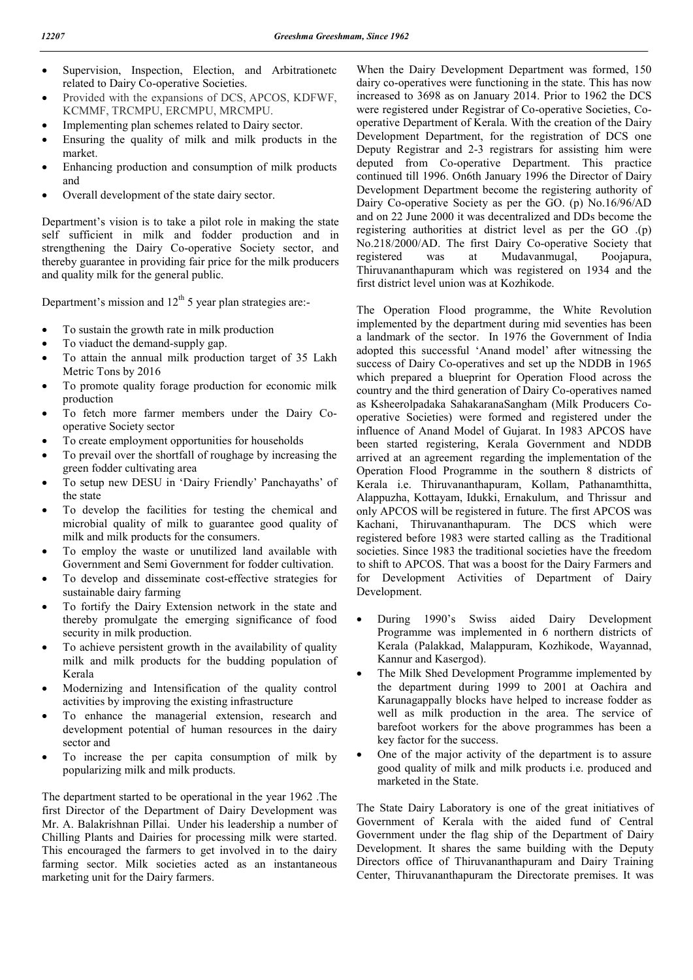- Supervision, Inspection, Election, and Arbitrationetc related to Dairy Co-operative Societies.
- Provided with the expansions of DCS, APCOS, KDFWF, KCMMF, TRCMPU, ERCMPU, MRCMPU.
- Implementing plan schemes related to Dairy sector.
- Ensuring the quality of milk and milk products in the market.
- Enhancing production and consumption of milk products and
- Overall development of the state dairy sector.

Department's vision is to take a pilot role in making the state self sufficient in milk and fodder production and in strengthening the Dairy Co-operative Society sector, and thereby guarantee in providing fair price for the milk producers and quality milk for the general public.

Department's mission and  $12<sup>th</sup> 5$  year plan strategies are:-

- To sustain the growth rate in milk production
- To viaduct the demand-supply gap.
- To attain the annual milk production target of 35 Lakh Metric Tons by 2016
- To promote quality forage production for economic milk production
- To fetch more farmer members under the Dairy Cooperative Society sector
- To create employment opportunities for households
- To prevail over the shortfall of roughage by increasing the green fodder cultivating area
- To setup new DESU in 'Dairy Friendly' Panchayaths' of the state
- To develop the facilities for testing the chemical and microbial quality of milk to guarantee good quality of milk and milk products for the consumers.
- To employ the waste or unutilized land available with Government and Semi Government for fodder cultivation.
- To develop and disseminate cost-effective strategies for sustainable dairy farming
- To fortify the Dairy Extension network in the state and thereby promulgate the emerging significance of food security in milk production.
- To achieve persistent growth in the availability of quality milk and milk products for the budding population of Kerala
- Modernizing and Intensification of the quality control activities by improving the existing infrastructure
- To enhance the managerial extension, research and development potential of human resources in the dairy sector and
- To increase the per capita consumption of milk by popularizing milk and milk products.

The department started to be operational in the year 1962 .The first Director of the Department of Dairy Development was Mr. A. Balakrishnan Pillai. Under his leadership a number of Chilling Plants and Dairies for processing milk were started. This encouraged the farmers to get involved in to the dairy farming sector. Milk societies acted as an instantaneous marketing unit for the Dairy farmers.

When the Dairy Development Department was formed, 150 dairy co-operatives were functioning in the state. This has now increased to 3698 as on January 2014. Prior to 1962 the DCS were registered under Registrar of Co-operative Societies, Cooperative Department of Kerala. With the creation of the Dairy Development Department, for the registration of DCS one Deputy Registrar and 2-3 registrars for assisting him were deputed from Co-operative Department. This practice continued till 1996. On6th January 1996 the Director of Dairy Development Department become the registering authority of Dairy Co-operative Society as per the GO. (p) No.16/96/AD and on 22 June 2000 it was decentralized and DDs become the registering authorities at district level as per the GO .(p) No.218/2000/AD. The first Dairy Co-operative Society that registered was at Mudavanmugal, Poojapura, Thiruvananthapuram which was registered on 1934 and the first district level union was at Kozhikode.

The Operation Flood programme, the White Revolution implemented by the department during mid seventies has been a landmark of the sector. In 1976 the Government of India adopted this successful 'Anand model' after witnessing the success of Dairy Co-operatives and set up the NDDB in 1965 which prepared a blueprint for Operation Flood across the country and the third generation of Dairy Co-operatives named as Ksheerolpadaka SahakaranaSangham (Milk Producers Cooperative Societies) were formed and registered under the influence of Anand Model of Gujarat. In 1983 APCOS have been started registering, Kerala Government and NDDB arrived at an agreement regarding the implementation of the Operation Flood Programme in the southern 8 districts of Kerala i.e. Thiruvananthapuram, Kollam, Pathanamthitta, Alappuzha, Kottayam, Idukki, Ernakulum, and Thrissur and only APCOS will be registered in future. The first APCOS was Kachani, Thiruvananthapuram. The DCS which were registered before 1983 were started calling as the Traditional societies. Since 1983 the traditional societies have the freedom to shift to APCOS. That was a boost for the Dairy Farmers and for Development Activities of Department of Dairy Development.

- During 1990's Swiss aided Dairy Development Programme was implemented in 6 northern districts of Kerala (Palakkad, Malappuram, Kozhikode, Wayannad, Kannur and Kasergod).
- The Milk Shed Development Programme implemented by the department during 1999 to 2001 at Oachira and Karunagappally blocks have helped to increase fodder as well as milk production in the area. The service of barefoot workers for the above programmes has been a key factor for the success.
- One of the major activity of the department is to assure good quality of milk and milk products i.e. produced and marketed in the State.

The State Dairy Laboratory is one of the great initiatives of Government of Kerala with the aided fund of Central Government under the flag ship of the Department of Dairy Development. It shares the same building with the Deputy Directors office of Thiruvananthapuram and Dairy Training Center, Thiruvananthapuram the Directorate premises. It was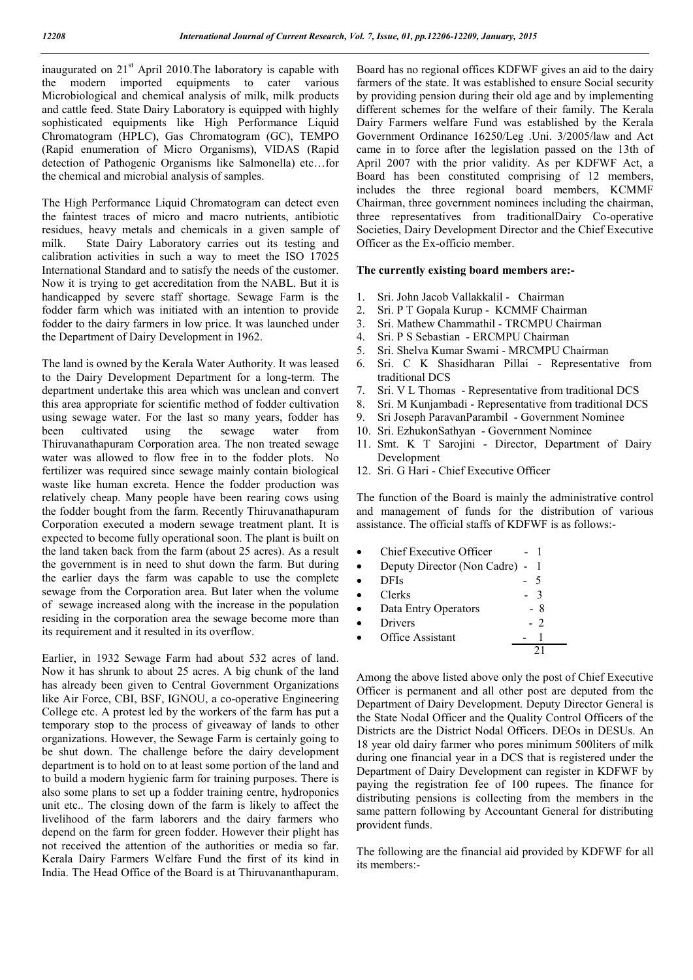inaugurated on 21<sup>st</sup> April 2010. The laboratory is capable with the modern imported equipments to cater various Microbiological and chemical analysis of milk, milk products and cattle feed. State Dairy Laboratory is equipped with highly sophisticated equipments like High Performance Liquid Chromatogram (HPLC), Gas Chromatogram (GC), TEMPO (Rapid enumeration of Micro Organisms), VIDAS (Rapid detection of Pathogenic Organisms like Salmonella) etc…for the chemical and microbial analysis of samples.

The High Performance Liquid Chromatogram can detect even the faintest traces of micro and macro nutrients, antibiotic residues, heavy metals and chemicals in a given sample of milk. State Dairy Laboratory carries out its testing and calibration activities in such a way to meet the ISO 17025 International Standard and to satisfy the needs of the customer. Now it is trying to get accreditation from the NABL. But it is handicapped by severe staff shortage. Sewage Farm is the fodder farm which was initiated with an intention to provide fodder to the dairy farmers in low price. It was launched under the Department of Dairy Development in 1962.

The land is owned by the Kerala Water Authority. It was leased to the Dairy Development Department for a long-term. The department undertake this area which was unclean and convert this area appropriate for scientific method of fodder cultivation using sewage water. For the last so many years, fodder has been cultivated using the sewage water from Thiruvanathapuram Corporation area. The non treated sewage water was allowed to flow free in to the fodder plots. No fertilizer was required since sewage mainly contain biological waste like human excreta. Hence the fodder production was relatively cheap. Many people have been rearing cows using the fodder bought from the farm. Recently Thiruvanathapuram Corporation executed a modern sewage treatment plant. It is expected to become fully operational soon. The plant is built on the land taken back from the farm (about 25 acres). As a result the government is in need to shut down the farm. But during the earlier days the farm was capable to use the complete sewage from the Corporation area. But later when the volume of sewage increased along with the increase in the population residing in the corporation area the sewage become more than its requirement and it resulted in its overflow.

Earlier, in 1932 Sewage Farm had about 532 acres of land. Now it has shrunk to about 25 acres. A big chunk of the land has already been given to Central Government Organizations like Air Force, CBI, BSF, IGNOU, a co-operative Engineering College etc. A protest led by the workers of the farm has put a temporary stop to the process of giveaway of lands to other organizations. However, the Sewage Farm is certainly going to be shut down. The challenge before the dairy development department is to hold on to at least some portion of the land and to build a modern hygienic farm for training purposes. There is also some plans to set up a fodder training centre, hydroponics unit etc.. The closing down of the farm is likely to affect the livelihood of the farm laborers and the dairy farmers who depend on the farm for green fodder. However their plight has not received the attention of the authorities or media so far. Kerala Dairy Farmers Welfare Fund the first of its kind in India. The Head Office of the Board is at Thiruvananthapuram.

Board has no regional offices KDFWF gives an aid to the dairy farmers of the state. It was established to ensure Social security by providing pension during their old age and by implementing different schemes for the welfare of their family. The Kerala Dairy Farmers welfare Fund was established by the Kerala Government Ordinance 16250/Leg .Uni. 3/2005/law and Act came in to force after the legislation passed on the 13th of April 2007 with the prior validity. As per KDFWF Act, a Board has been constituted comprising of 12 members, includes the three regional board members, KCMMF Chairman, three government nominees including the chairman, three representatives from traditionalDairy Co-operative Societies, Dairy Development Director and the Chief Executive Officer as the Ex-officio member.

#### **The currently existing board members are:-**

- 1. Sri. John Jacob Vallakkalil Chairman
- 2. Sri. P T Gopala Kurup KCMMF Chairman
- 3. Sri. Mathew Chammathil TRCMPU Chairman
- 4. Sri. P S Sebastian ERCMPU Chairman
- 5. Sri. Shelva Kumar Swami MRCMPU Chairman
- 6. Sri. C K Shasidharan Pillai Representative from traditional DCS
- 7. Sri. V L Thomas Representative from traditional DCS
- 8. Sri. M Kunjambadi Representative from traditional DCS
- 9. Sri Joseph ParavanParambil Government Nominee
- 10. Sri. EzhukonSathyan Government Nominee
- 11. Smt. K T Sarojini Director, Department of Dairy Development
- 12. Sri. G Hari Chief Executive Officer

The function of the Board is mainly the administrative control and management of funds for the distribution of various assistance. The official staffs of KDFWF is as follows:-

Chief Executive Officer - 1 Deputy Director (Non Cadre) - 1  $DFIs$  - 5  $Clerks$  - 3 Data Entry Operators - 8<br>Drivers - 2 Drivers - 2<br>Office Assistant - 1 Office Assistant 21

Among the above listed above only the post of Chief Executive Officer is permanent and all other post are deputed from the Department of Dairy Development. Deputy Director General is the State Nodal Officer and the Quality Control Officers of the Districts are the District Nodal Officers. DEOs in DESUs. An 18 year old dairy farmer who pores minimum 500liters of milk during one financial year in a DCS that is registered under the Department of Dairy Development can register in KDFWF by paying the registration fee of 100 rupees. The finance for distributing pensions is collecting from the members in the same pattern following by Accountant General for distributing provident funds.

The following are the financial aid provided by KDFWF for all its members:-